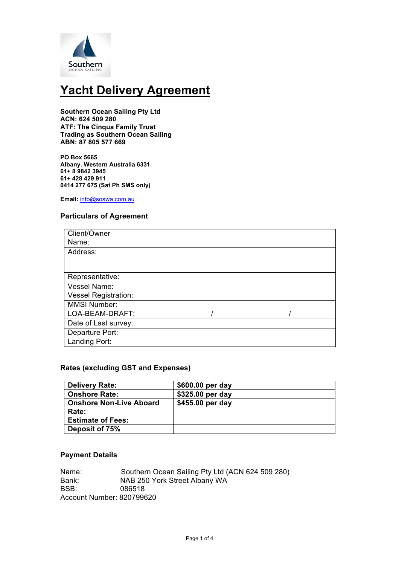

# **Yacht Delivery Agreement**

**Southern Ocean Sailing Pty Ltd ACN: 624 509 280 ATF: The Cinqua Family Trust Trading as Southern Ocean Sailing ABN: 87 805 577 669**

**PO Box 5665 Albany. Western Australia 6331 61+ 8 9842 3945 61+ 428 429 911 0414 277 675 (Sat Ph SMS only)**

**Email:** info@soswa.com.au

## **Particulars of Agreement**

| Client/Owner                |  |  |
|-----------------------------|--|--|
| Name:                       |  |  |
| Address:                    |  |  |
|                             |  |  |
|                             |  |  |
| Representative:             |  |  |
| Vessel Name:                |  |  |
| <b>Vessel Registration:</b> |  |  |
| <b>MMSI Number:</b>         |  |  |
| LOA-BEAM-DRAFT:             |  |  |
| Date of Last survey:        |  |  |
| Departure Port:             |  |  |
| Landing Port:               |  |  |

## **Rates (excluding GST and Expenses)**

| <b>Delivery Rate:</b>          | \$600.00 per day |
|--------------------------------|------------------|
| <b>Onshore Rate:</b>           | \$325.00 per day |
| <b>Onshore Non-Live Aboard</b> | \$455.00 per day |
| Rate:                          |                  |
| <b>Estimate of Fees:</b>       |                  |
| Deposit of 75%                 |                  |

## **Payment Details**

Name: Southern Ocean Sailing Pty Ltd (ACN 624 509 280) Bank: NAB 250 York Street Albany WA BSB: 086518 Account Number: 820799620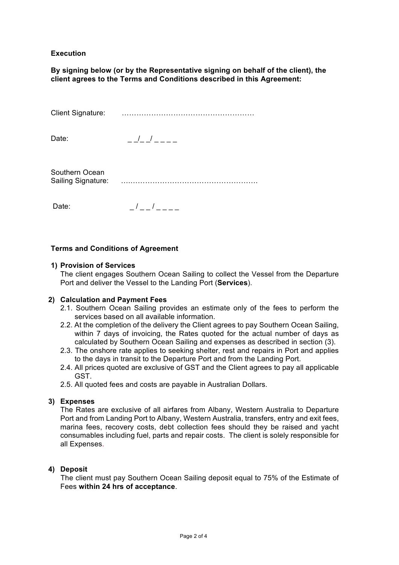# **Execution**

**By signing below (or by the Representative signing on behalf of the client), the client agrees to the Terms and Conditions described in this Agreement:**

Client Signature: ………………………………………………

Date:  $-1$   $-1$ 

Southern Ocean Sailing Signature: ….…………………………………………….

Date:  $\sqrt{2}$  /  $\sqrt{2}$ 

## **Terms and Conditions of Agreement**

#### **1) Provision of Services**

The client engages Southern Ocean Sailing to collect the Vessel from the Departure Port and deliver the Vessel to the Landing Port (**Services**).

#### **2) Calculation and Payment Fees**

- 2.1. Southern Ocean Sailing provides an estimate only of the fees to perform the services based on all available information.
- 2.2. At the completion of the delivery the Client agrees to pay Southern Ocean Sailing, within 7 days of invoicing, the Rates quoted for the actual number of days as calculated by Southern Ocean Sailing and expenses as described in section (3).
- 2.3. The onshore rate applies to seeking shelter, rest and repairs in Port and applies to the days in transit to the Departure Port and from the Landing Port.
- 2.4. All prices quoted are exclusive of GST and the Client agrees to pay all applicable GST.
- 2.5. All quoted fees and costs are payable in Australian Dollars.

#### **3) Expenses**

The Rates are exclusive of all airfares from Albany, Western Australia to Departure Port and from Landing Port to Albany, Western Australia, transfers, entry and exit fees, marina fees, recovery costs, debt collection fees should they be raised and yacht consumables including fuel, parts and repair costs. The client is solely responsible for all Expenses.

#### **4) Deposit**

 The client must pay Southern Ocean Sailing deposit equal to 75% of the Estimate of Fees **within 24 hrs of acceptance**.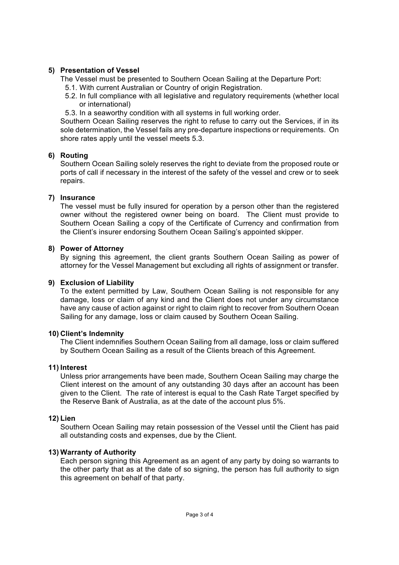# **5) Presentation of Vessel**

The Vessel must be presented to Southern Ocean Sailing at the Departure Port:

- 5.1. With current Australian or Country of origin Registration.
- 5.2. In full compliance with all legislative and regulatory requirements (whether local or international)
- 5.3. In a seaworthy condition with all systems in full working order.

 Southern Ocean Sailing reserves the right to refuse to carry out the Services, if in its sole determination, the Vessel fails any pre-departure inspections or requirements. On shore rates apply until the vessel meets 5.3.

## **6) Routing**

Southern Ocean Sailing solely reserves the right to deviate from the proposed route or ports of call if necessary in the interest of the safety of the vessel and crew or to seek repairs.

## **7) Insurance**

The vessel must be fully insured for operation by a person other than the registered owner without the registered owner being on board. The Client must provide to Southern Ocean Sailing a copy of the Certificate of Currency and confirmation from the Client's insurer endorsing Southern Ocean Sailing's appointed skipper.

## **8) Power of Attorney**

By signing this agreement, the client grants Southern Ocean Sailing as power of attorney for the Vessel Management but excluding all rights of assignment or transfer.

## **9) Exclusion of Liability**

To the extent permitted by Law, Southern Ocean Sailing is not responsible for any damage, loss or claim of any kind and the Client does not under any circumstance have any cause of action against or right to claim right to recover from Southern Ocean Sailing for any damage, loss or claim caused by Southern Ocean Sailing.

#### **10) Client's Indemnity**

The Client indemnifies Southern Ocean Sailing from all damage, loss or claim suffered by Southern Ocean Sailing as a result of the Clients breach of this Agreement.

#### **11) Interest**

Unless prior arrangements have been made, Southern Ocean Sailing may charge the Client interest on the amount of any outstanding 30 days after an account has been given to the Client. The rate of interest is equal to the Cash Rate Target specified by the Reserve Bank of Australia, as at the date of the account plus 5%.

#### **12) Lien**

Southern Ocean Sailing may retain possession of the Vessel until the Client has paid all outstanding costs and expenses, due by the Client.

# **13) Warranty of Authority**

Each person signing this Agreement as an agent of any party by doing so warrants to the other party that as at the date of so signing, the person has full authority to sign this agreement on behalf of that party.